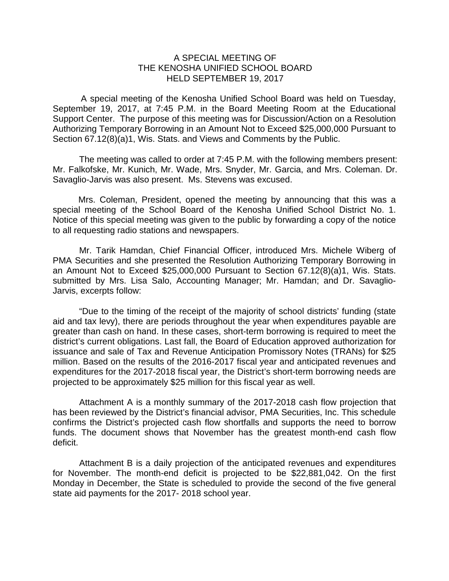## A SPECIAL MEETING OF THE KENOSHA UNIFIED SCHOOL BOARD HELD SEPTEMBER 19, 2017

A special meeting of the Kenosha Unified School Board was held on Tuesday, September 19, 2017, at 7:45 P.M. in the Board Meeting Room at the Educational Support Center. The purpose of this meeting was for Discussion/Action on a Resolution Authorizing Temporary Borrowing in an Amount Not to Exceed \$25,000,000 Pursuant to Section 67.12(8)(a)1, Wis. Stats. and Views and Comments by the Public.

The meeting was called to order at 7:45 P.M. with the following members present: Mr. Falkofske, Mr. Kunich, Mr. Wade, Mrs. Snyder, Mr. Garcia, and Mrs. Coleman. Dr. Savaglio-Jarvis was also present. Ms. Stevens was excused.

Mrs. Coleman, President, opened the meeting by announcing that this was a special meeting of the School Board of the Kenosha Unified School District No. 1. Notice of this special meeting was given to the public by forwarding a copy of the notice to all requesting radio stations and newspapers.

Mr. Tarik Hamdan, Chief Financial Officer, introduced Mrs. Michele Wiberg of PMA Securities and she presented the Resolution Authorizing Temporary Borrowing in an Amount Not to Exceed \$25,000,000 Pursuant to Section 67.12(8)(a)1, Wis. Stats. submitted by Mrs. Lisa Salo, Accounting Manager; Mr. Hamdan; and Dr. Savaglio-Jarvis, excerpts follow:

"Due to the timing of the receipt of the majority of school districts' funding (state aid and tax levy), there are periods throughout the year when expenditures payable are greater than cash on hand. In these cases, short-term borrowing is required to meet the district's current obligations. Last fall, the Board of Education approved authorization for issuance and sale of Tax and Revenue Anticipation Promissory Notes (TRANs) for \$25 million. Based on the results of the 2016-2017 fiscal year and anticipated revenues and expenditures for the 2017-2018 fiscal year, the District's short-term borrowing needs are projected to be approximately \$25 million for this fiscal year as well.

Attachment A is a monthly summary of the 2017-2018 cash flow projection that has been reviewed by the District's financial advisor, PMA Securities, Inc. This schedule confirms the District's projected cash flow shortfalls and supports the need to borrow funds. The document shows that November has the greatest month-end cash flow deficit.

Attachment B is a daily projection of the anticipated revenues and expenditures for November. The month-end deficit is projected to be \$22,881,042. On the first Monday in December, the State is scheduled to provide the second of the five general state aid payments for the 2017- 2018 school year.